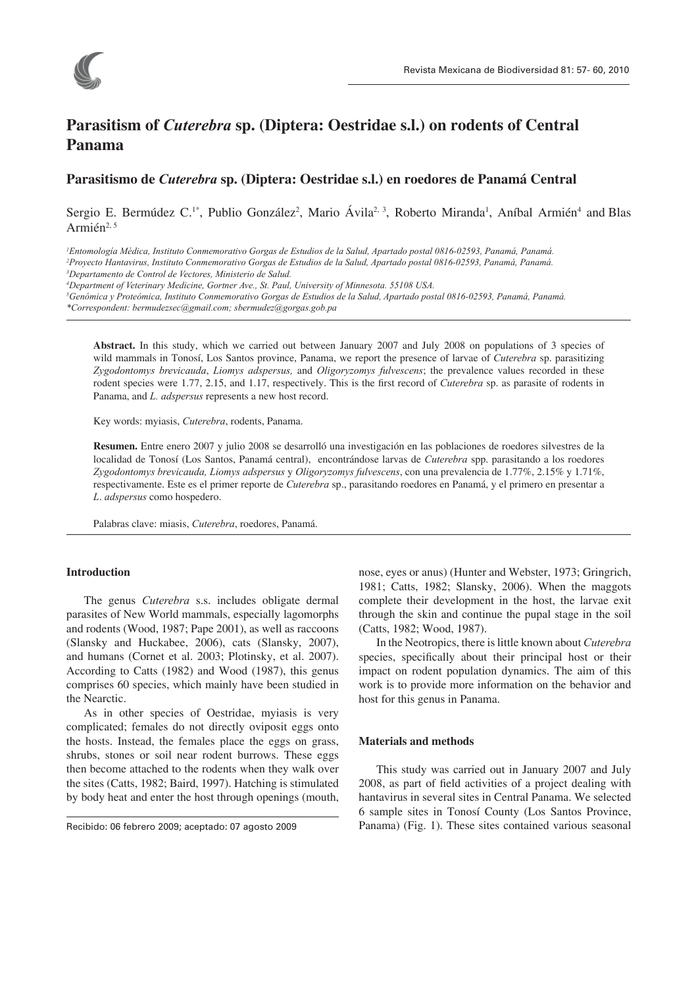

# **Parasitism of** *Cuterebra* **sp. (Diptera: Oestridae s.l.) on rodents of Central Panama**

# **Parasitismo de** *Cuterebra* **sp. (Diptera: Oestridae s.l.) en roedores de Panamá Central**

Sergio E. Bermúdez C.<sup>1\*</sup>, Publio González<sup>2</sup>, Mario Ávila<sup>2, 3</sup>, Roberto Miranda<sup>1</sup>, Aníbal Armién<sup>4</sup> and Blas Armién<sup>2, 5</sup>

*1 Entomología Médica, Instituto Conmemorativo Gorgas de Estudios de la Salud, Apartado postal 0816-02593, Panamá, Panamá.*

*2 Proyecto Hantavirus, Instituto Conmemorativo Gorgas de Estudios de la Salud, Apartado postal 0816-02593, Panamá, Panamá.*

*3 Departamento de Control de Vectores, Ministerio de Salud.* 

*4 Department of Veterinary Medicine, Gortner Ave., St. Paul, University of Minnesota. 55108 USA.* 

*5 Genómica y Proteómica, Instituto Conmemorativo Gorgas de Estudios de la Salud, Apartado postal 0816-02593, Panamá, Panamá.*

*\*Correspondent: bermudezsec@gmail.com; sbermudez@gorgas.gob.pa* 

**Abstract.** In this study, which we carried out between January 2007 and July 2008 on populations of 3 species of wild mammals in Tonosí, Los Santos province, Panama, we report the presence of larvae of *Cuterebra* sp. parasitizing *Zygodontomys brevicauda*, *Liomys adspersus,* and *Oligoryzomys fulvescens*; the prevalence values recorded in these rodent species were 1.77, 2.15, and 1.17, respectively. This is the first record of *Cuterebra* sp. as parasite of rodents in Panama, and *L. adspersus* represents a new host record.

Key words: myiasis, *Cuterebra*, rodents, Panama.

**Resumen.** Entre enero 2007 y julio 2008 se desarrolló una investigación en las poblaciones de roedores silvestres de la localidad de Tonosí (Los Santos, Panamá central), encontrándose larvas de *Cuterebra* spp. parasitando a los roedores *Zygodontomys brevicauda, Liomys adspersus* y *Oligoryzomys fulvescens*, con una prevalencia de 1.77%, 2.15% y 1.71%, respectivamente. Este es el primer reporte de *Cuterebra* sp., parasitando roedores en Panamá, y el primero en presentar a *L*. *adspersus* como hospedero.

Palabras clave: miasis, *Cuterebra*, roedores, Panamá.

#### **Introduction**

The genus *Cuterebra* s.s. includes obligate dermal parasites of New World mammals, especially lagomorphs and rodents (Wood, 1987; Pape 2001), as well as raccoons (Slansky and Huckabee, 2006), cats (Slansky, 2007), and humans (Cornet et al. 2003; Plotinsky, et al. 2007). According to Catts (1982) and Wood (1987), this genus comprises 60 species, which mainly have been studied in the Nearctic.

As in other species of Oestridae, myiasis is very complicated; females do not directly oviposit eggs onto the hosts. Instead, the females place the eggs on grass, shrubs, stones or soil near rodent burrows. These eggs then become attached to the rodents when they walk over the sites (Catts, 1982; Baird, 1997). Hatching is stimulated by body heat and enter the host through openings (mouth,

Recibido: 06 febrero 2009; aceptado: 07 agosto 2009

nose, eyes or anus) (Hunter and Webster, 1973; Gringrich, 1981; Catts, 1982; Slansky, 2006). When the maggots complete their development in the host, the larvae exit through the skin and continue the pupal stage in the soil (Catts, 1982; Wood, 1987).

In the Neotropics, there is little known about *Cuterebra*  species, specifically about their principal host or their impact on rodent population dynamics. The aim of this work is to provide more information on the behavior and host for this genus in Panama.

#### **Materials and methods**

This study was carried out in January 2007 and July 2008, as part of field activities of a project dealing with hantavirus in several sites in Central Panama. We selected 6 sample sites in Tonosí County (Los Santos Province, Panama) (Fig. 1). These sites contained various seasonal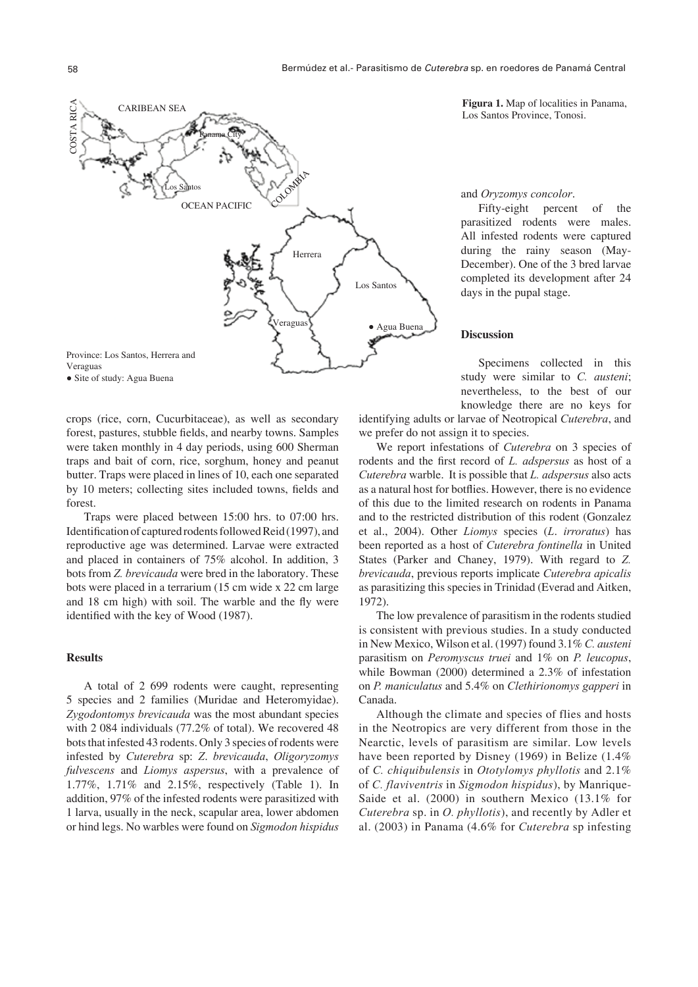

crops (rice, corn, Cucurbitaceae), as well as secondary forest, pastures, stubble fields, and nearby towns. Samples were taken monthly in 4 day periods, using 600 Sherman traps and bait of corn, rice, sorghum, honey and peanut butter. Traps were placed in lines of 10, each one separated by 10 meters; collecting sites included towns, fields and forest.

Traps were placed between 15:00 hrs. to 07:00 hrs. Identification of captured rodents followed Reid (1997), and reproductive age was determined. Larvae were extracted and placed in containers of 75% alcohol. In addition, 3 bots from *Z. brevicauda* were bred in the laboratory. These bots were placed in a terrarium (15 cm wide x 22 cm large and 18 cm high) with soil. The warble and the fly were identified with the key of Wood (1987).

### **Results**

A total of 2 699 rodents were caught, representing 5 species and 2 families (Muridae and Heteromyidae). *Zygodontomys brevicauda* was the most abundant species with 2 084 individuals (77.2% of total). We recovered 48 bots that infested 43 rodents. Only 3 species of rodents were infested by *Cuterebra* sp: *Z*. *brevicauda*, *Oligoryzomys fulvescens* and *Liomys aspersus*, with a prevalence of 1.77%, 1.71% and 2.15%, respectively (Table 1). In addition, 97% of the infested rodents were parasitized with 1 larva, usually in the neck, scapular area, lower abdomen or hind legs. No warbles were found on *Sigmodon hispidus*

**Figura 1.** Map of localities in Panama, Los Santos Province, Tonosi.

#### and *Oryzomys concolor*.

Fifty-eight percent of the parasitized rodents were males. All infested rodents were captured during the rainy season (May-December). One of the 3 bred larvae completed its development after 24 days in the pupal stage.

#### **Discussion**

Specimens collected in this study were similar to *C. austeni*; nevertheless, to the best of our knowledge there are no keys for

identifying adults or larvae of Neotropical *Cuterebra*, and we prefer do not assign it to species.

We report infestations of *Cuterebra* on 3 species of rodents and the first record of *L. adspersus* as host of a *Cuterebra* warble. It is possible that *L. adspersus* also acts as a natural host for botflies. However, there is no evidence of this due to the limited research on rodents in Panama and to the restricted distribution of this rodent (Gonzalez et al., 2004). Other *Liomys* species (*L*. *irroratus*) has been reported as a host of *Cuterebra fontinella* in United States (Parker and Chaney, 1979). With regard to *Z. brevicauda*, previous reports implicate *Cuterebra apicalis*  as parasitizing this species in Trinidad (Everad and Aitken, 1972).

The low prevalence of parasitism in the rodents studied is consistent with previous studies. In a study conducted in New Mexico, Wilson et al. (1997) found 3.1% *C. austeni* parasitism on *Peromyscus truei* and 1% on *P. leucopus*, while Bowman (2000) determined a 2.3% of infestation on *P. maniculatus* and 5.4% on *Clethirionomys gapperi* in Canada.

Although the climate and species of flies and hosts in the Neotropics are very different from those in the Nearctic, levels of parasitism are similar. Low levels have been reported by Disney (1969) in Belize (1.4% of *C. chiquibulensis* in *Ototylomys phyllotis* and 2.1% of *C. flaviventris* in *Sigmodon hispidus*), by Manrique-Saide et al. (2000) in southern Mexico (13.1% for *Cuterebra* sp. in *O. phyllotis*), and recently by Adler et al. (2003) in Panama (4.6% for *Cuterebra* sp infesting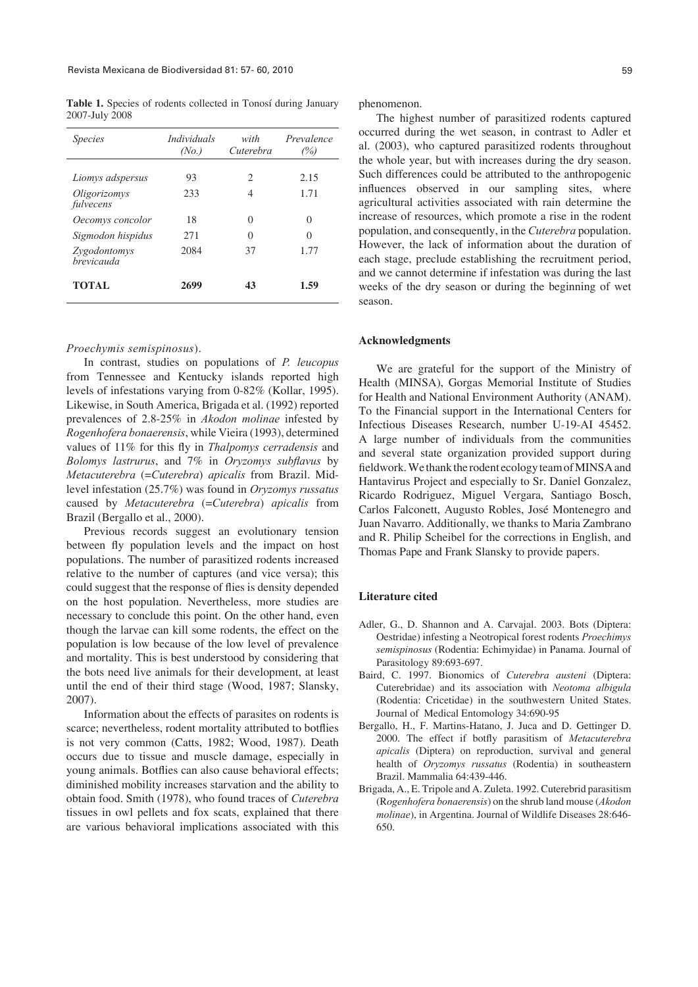**Table 1.** Species of rodents collected in Tonosí during January 2007-July 2008

| <i>Species</i>             | <i>Individuals</i><br>(No.) | with<br>Cuterebra           | Prevalence<br>(%) |
|----------------------------|-----------------------------|-----------------------------|-------------------|
| Liomys adspersus           | 93                          | $\mathcal{D}_{\mathcal{L}}$ | 2.15              |
| Oligorizomys<br>fulvecens  | 233                         | 4                           | 1.71              |
| Oecomys concolor           | 18                          | 0                           | 0                 |
| Sigmodon hispidus          | 271                         | 0                           | 0                 |
| Zygodontomys<br>hrevicauda | 2084                        | 37                          | 1.77              |
| <b>TOTAL</b>               | 2699                        | 43                          | 1.59              |

#### *Proechymis semispinosus*).

In contrast, studies on populations of *P. leucopus* from Tennessee and Kentucky islands reported high levels of infestations varying from 0-82% (Kollar, 1995). Likewise, in South America, Brigada et al. (1992) reported prevalences of 2.8-25% in *Akodon molinae* infested by *Rogenhofera bonaerensis*, while Vieira (1993), determined values of 11% for this fly in *Thalpomys cerradensis* and *Bolomys lastrurus*, and 7% in *Oryzomys subflavus* by *Metacuterebra* (=*Cuterebra*) *apicalis* from Brazil. Midlevel infestation (25.7%) was found in *Oryzomys russatus* caused by *Metacuterebra* (=*Cuterebra*) *apicalis* from Brazil (Bergallo et al., 2000).

Previous records suggest an evolutionary tension between fly population levels and the impact on host populations. The number of parasitized rodents increased relative to the number of captures (and vice versa); this could suggest that the response of flies is density depended on the host population. Nevertheless, more studies are necessary to conclude this point. On the other hand, even though the larvae can kill some rodents, the effect on the population is low because of the low level of prevalence and mortality. This is best understood by considering that the bots need live animals for their development, at least until the end of their third stage (Wood, 1987; Slansky, 2007).

Information about the effects of parasites on rodents is scarce; nevertheless, rodent mortality attributed to botflies is not very common (Catts, 1982; Wood, 1987). Death occurs due to tissue and muscle damage, especially in young animals. Botflies can also cause behavioral effects; diminished mobility increases starvation and the ability to obtain food. Smith (1978), who found traces of *Cuterebra* tissues in owl pellets and fox scats, explained that there are various behavioral implications associated with this phenomenon.

The highest number of parasitized rodents captured occurred during the wet season, in contrast to Adler et al. (2003), who captured parasitized rodents throughout the whole year, but with increases during the dry season. Such differences could be attributed to the anthropogenic influences observed in our sampling sites, where agricultural activities associated with rain determine the increase of resources, which promote a rise in the rodent population, and consequently, in the *Cuterebra* population. However, the lack of information about the duration of each stage, preclude establishing the recruitment period, and we cannot determine if infestation was during the last weeks of the dry season or during the beginning of wet season.

#### **Acknowledgments**

We are grateful for the support of the Ministry of Health (MINSA), Gorgas Memorial Institute of Studies for Health and National Environment Authority (ANAM). To the Financial support in the International Centers for Infectious Diseases Research, number U-19-AI 45452. A large number of individuals from the communities and several state organization provided support during fieldwork. We thank the rodent ecology team of MINSA and Hantavirus Project and especially to Sr. Daniel Gonzalez, Ricardo Rodriguez, Miguel Vergara, Santiago Bosch, Carlos Falconett, Augusto Robles, José Montenegro and Juan Navarro. Additionally, we thanks to Maria Zambrano and R. Philip Scheibel for the corrections in English, and Thomas Pape and Frank Slansky to provide papers.

## **Literature cited**

- Adler, G., D. Shannon and A. Carvajal. 2003. Bots (Diptera: Oestridae) infesting a Neotropical forest rodents *Proechimys semispinosus* (Rodentia: Echimyidae) in Panama. Journal of Parasitology 89:693-697.
- Baird, C. 1997. Bionomics of *Cuterebra austeni* (Diptera: Cuterebridae) and its association with *Neotoma albigula*  (Rodentia: Cricetidae) in the southwestern United States. Journal of Medical Entomology 34:690-95
- Bergallo, H., F. Martins-Hatano, J. Juca and D. Gettinger D. 2000. The effect if botfly parasitism of *Metacuterebra apicalis* (Diptera) on reproduction, survival and general health of *Oryzomys russatus* (Rodentia) in southeastern Brazil. Mammalia 64:439-446.
- Brigada, A., E. Tripole and A. Zuleta. 1992. Cuterebrid parasitism (R*ogenhofera bonaerensis*) on the shrub land mouse (*Akodon molinae*), in Argentina. Journal of Wildlife Diseases 28:646- 650.